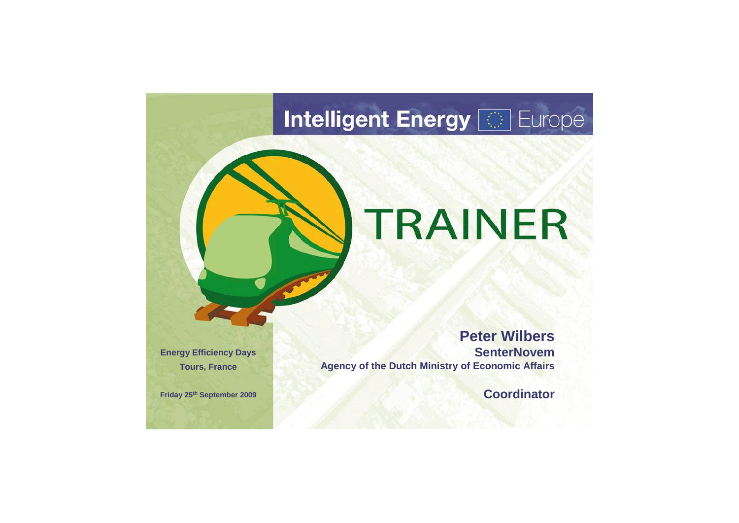# **Intelligent Energy [829 Europe**

# TRAINER

**Peter Wilbers SenterNovem Agency of the Dutch Ministry of Economic Affairs**

**Coordinator**



**Energy Efficiency Days Tours, France**

**Friday 25th September 2009**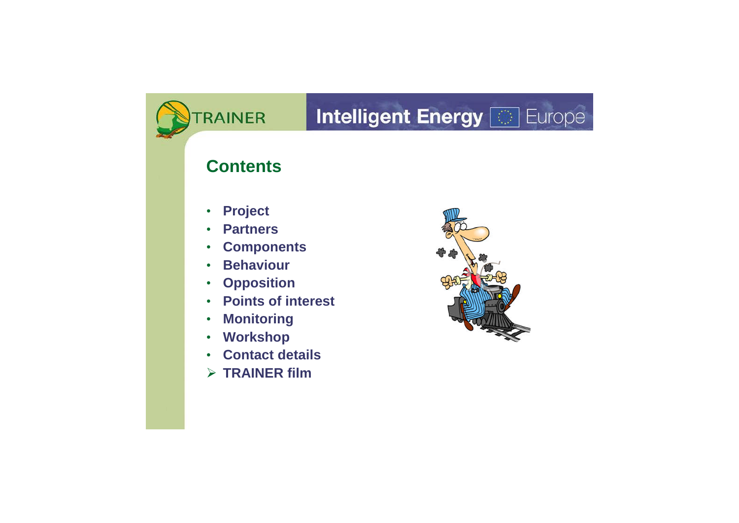# RAINER **Contents** • **Project** • **Partners** • **Components** • **Behaviour** • **Opposition** • **Points of interest** • **Monitoring** • **Workshop** • **Contact details TRAINER film**



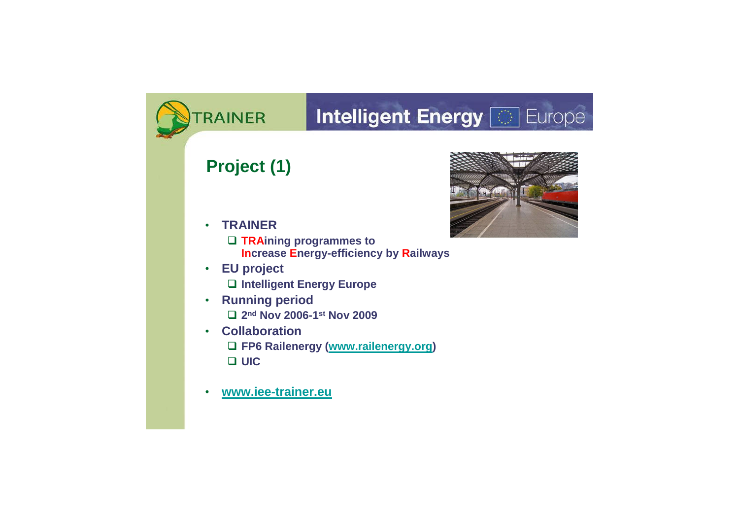#### **Intelligent Energy <b>&** Europe RAINER **Project (1)** • **TRAINER TRAining programmes to Increase Energy-efficiency by Railways** • **EU project Intelligent Energy Europe** • **Running period 2 nd Nov 2006-1 st Nov 2009** • **Collaboration FP6 Railenergy (www.railenergy.org) UIC** • **www.iee-trainer.eu**



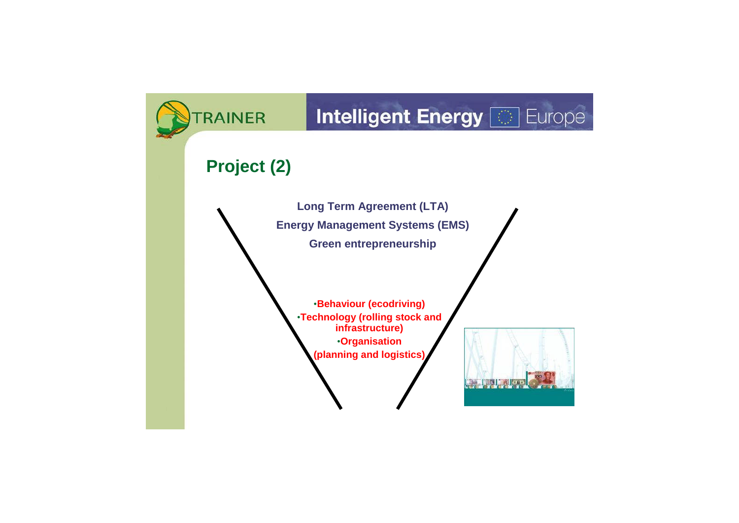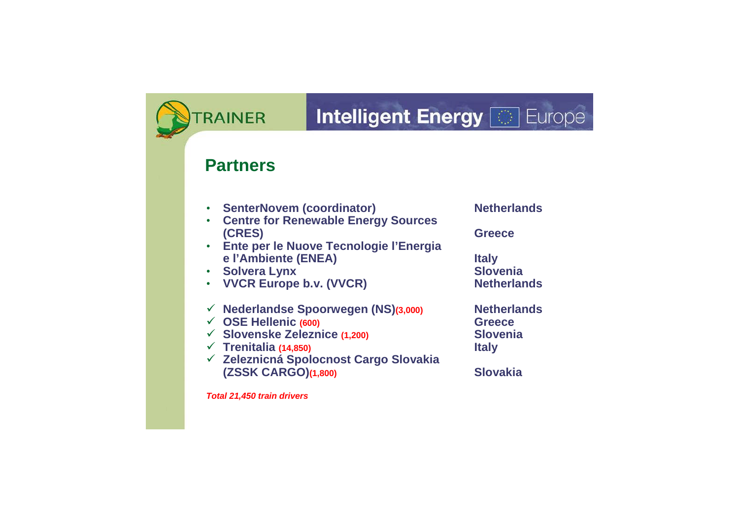#### Intelligent Energy

#### **Partners**

• **SenterNovem (coordinator) Netherlands** • **Centre for Renewable Energy Sources (CRES) Greece** • **Ente per le Nuove Tecnologie l'Energia e l'Ambiente (ENEA) Italy** • Solvera Lynx (VVCR)<br>• VVCR Europe b.v. (VVCR) **And Solvenia**<br>• VVCR Europe b.v. (VVCR) **• VVCR Europe b.v. (VVCR) Nederlandse Spoorwegen (NS)(3,000) Netherlands OSE Hellenic (600) Greece Slovenske Zeleznice (1,200) Slovenia Trenitalia (14,850) Italy Zeleznicná Spolocnost Cargo Slovakia (ZSSK CARGO)(1,800) Slovakia** *Total 21,450 train drivers*

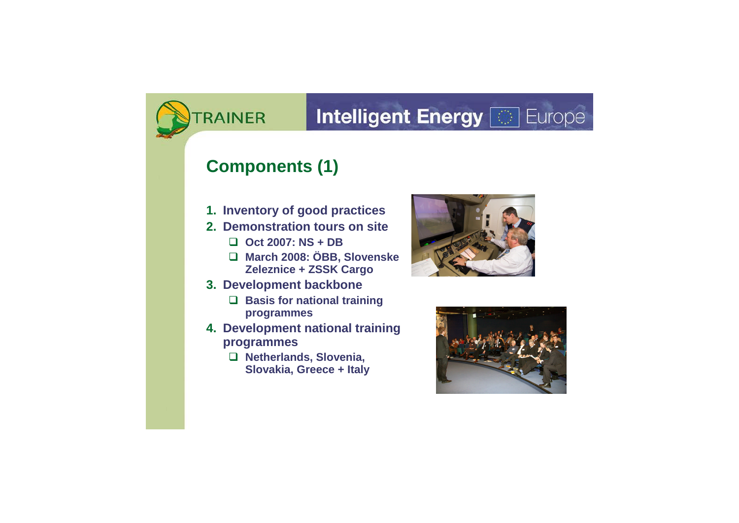## **Intelligent Energy <b>a** Europe

#### **Components (1)**

- **1. Inventory of good practices**
- **2. Demonstration tours on site**
	- **Oct 2007: NS + DB**
	- **March 2008: ÖBB, Slovenske Zeleznice + ZSSK Cargo**
- **3. Development backbone**
	- **Basis for national training programmes**
- **4. Development national training programmes**
	- **Netherlands, Slovenia, Slovakia, Greece + Italy**







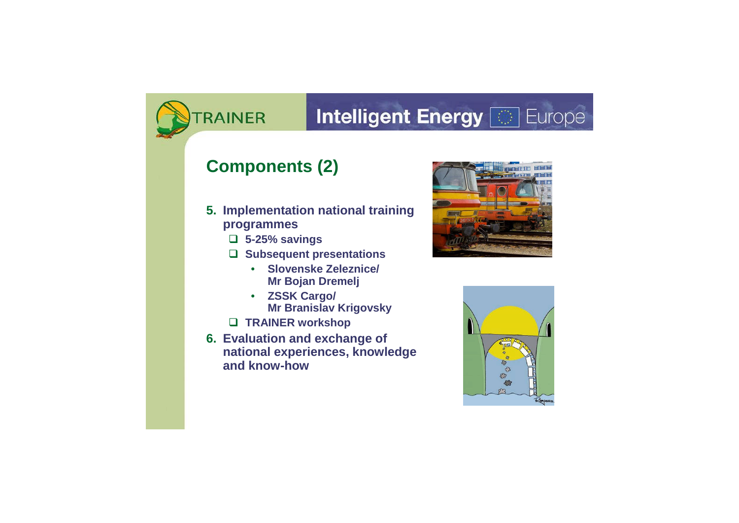## **Intelligent Energy <b>&** Europe

#### **Components (2)**

- **5. Implementation national training programmes**
	- **5-25% savings**
	- **Subsequent presentations**
		- **Slovenske Zeleznice/ Mr Bojan Dremelj**
		- **ZSSK Cargo/ Mr Branislav Krigovsky**
	- **TRAINER workshop**
- **6. Evaluation and exchange of national experiences, knowledge and know-how**





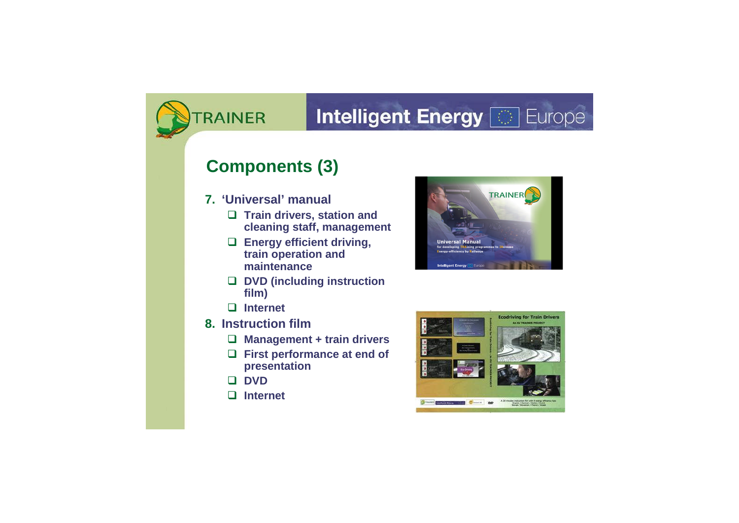## **Intelligent Energy <b>&** Europe

#### **Components (3)**

- **7. 'Universal' manual**
	- **Train drivers, station and cleaning staff, management**
	- **Energy efficient driving, train operation and maintenance**
	- **DVD (including instruction film)**
	- **Internet**
- **8. Instruction film**
	- **Management + train drivers**
	- **First performance at end of presentation**
	- **DVD**
	- **Internet**







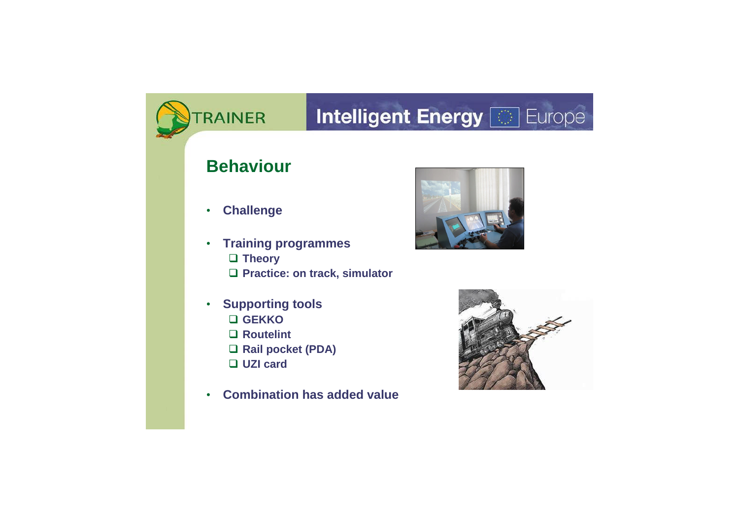## **Intelligent Energy <b>&** Europe RAINER **Behaviour** • **Challenge** • **Training programmes Theory Practice: on track, simulator** • **Supporting tools GEKKO Routelint Rail pocket (PDA) UZI card** • **Combination has added value**







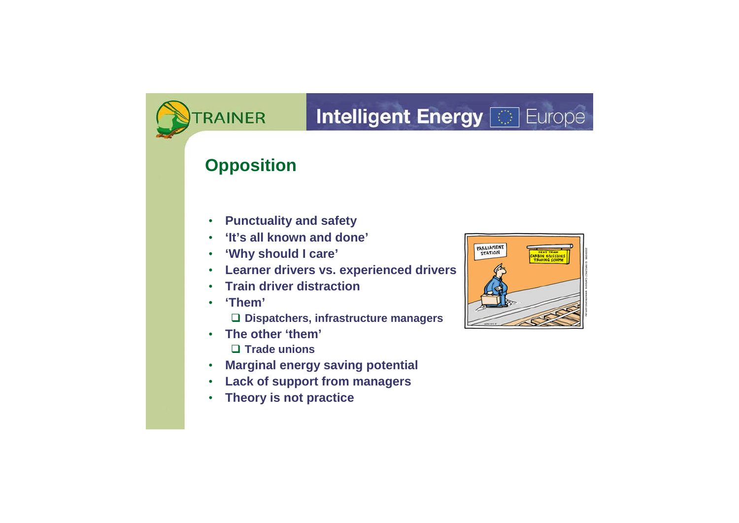## **Intelligent Energy <b>a** Europe

#### **Opposition**

- **Punctuality and safety**
- **'It's all known and done'**
- **'Why should I care'**
- **Learner drivers vs. experienced drivers**
- **Train driver distraction**
- **'Them'**
	- **Dispatchers, infrastructure managers**
- **The other 'them'**
	- **Trade unions**
- **Marginal energy saving potential**
- **Lack of support from managers**
- **Theory is not practice**



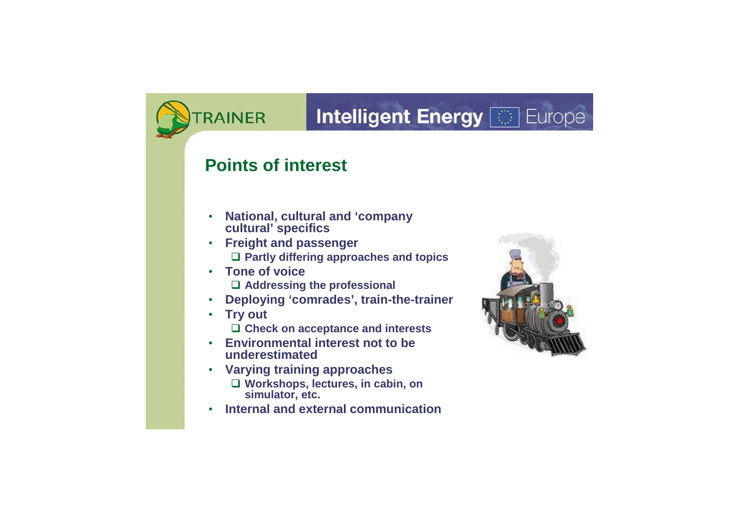## **Intelligent Energy [66] Europe**

#### **Points of interest**

- **National, cultural and 'company cultural' specifics**
- **Freight and passenger Partly differing approaches and topics**
- **Tone of voice Addressing the professional**
- **Deploying 'comrades', train-the-trainer**
- **Try out Check on acceptance and interests**
- **Environmental interest not to be underestimated**
- **Varying training approaches Workshops, lectures, in cabin, on simulator, etc.**
- **Internal and external communication**



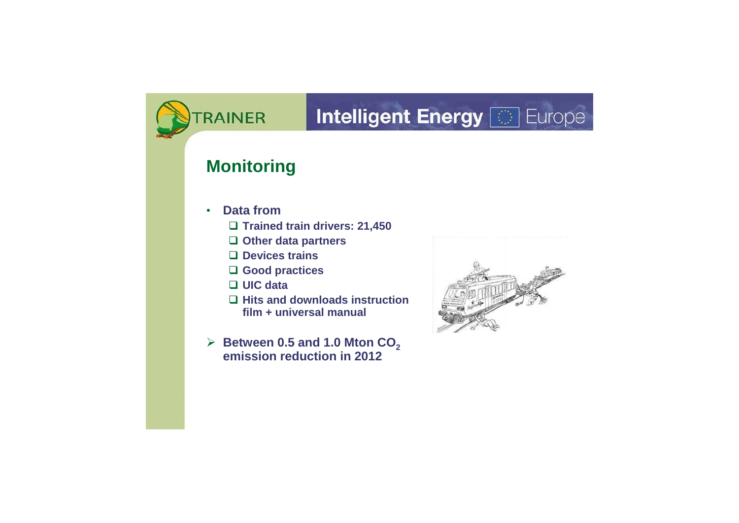## **Intelligent Energy [66] Europe**

#### **Monitoring**

- **Data from**
	- **Trained train drivers: 21,450**
	- **Other data partners**
	- **Devices trains**
	- **Good practices**
	- **UIC data**
	- **Hits and downloads instruction film + universal manual**
- $\triangleright$  Between 0.5 and 1.0 Mton  $CO<sub>2</sub>$ **emission reduction in 2012**



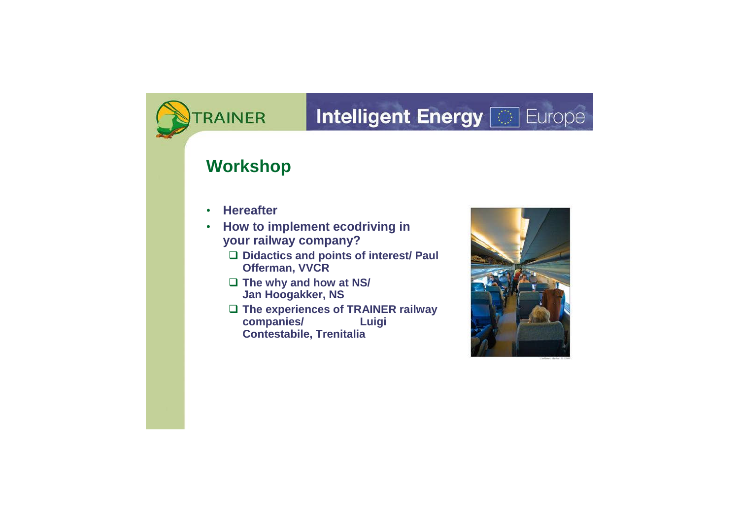## **Intelligent Energy [66] Europe**

#### **Workshop**

- **Hereafter**
- **How to implement ecodriving in your railway company?**
	- **Didactics and points of interest/ Paul Offerman, VVCR**
	- **The why and how at NS/ Jan Hoogakker, NS**
	- □ The experiences of TRAINER railway **companies/ Luigi Contestabile, Trenitalia**